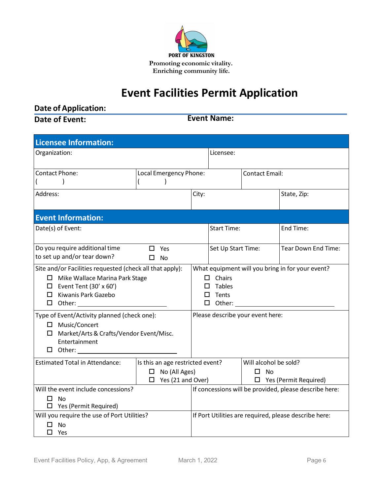

# **Event Facilities Permit Application**

**Date of Application:** 

**Date of Event:**

**Event Name:**

| <b>Licensee Information:</b>                                                                                                                                     |                                                                                      |                                                                                           |                    |                                                                       |                     |
|------------------------------------------------------------------------------------------------------------------------------------------------------------------|--------------------------------------------------------------------------------------|-------------------------------------------------------------------------------------------|--------------------|-----------------------------------------------------------------------|---------------------|
| Organization:                                                                                                                                                    |                                                                                      | Licensee:                                                                                 |                    |                                                                       |                     |
| <b>Contact Phone:</b>                                                                                                                                            | Local Emergency Phone:                                                               |                                                                                           |                    | <b>Contact Email:</b>                                                 |                     |
| Address:                                                                                                                                                         |                                                                                      | City:                                                                                     |                    |                                                                       | State, Zip:         |
| <b>Event Information:</b>                                                                                                                                        |                                                                                      |                                                                                           |                    |                                                                       |                     |
| Date(s) of Event:                                                                                                                                                |                                                                                      |                                                                                           | <b>Start Time:</b> |                                                                       | End Time:           |
| Do you require additional time<br>to set up and/or tear down?                                                                                                    | $\Box$ Yes<br>$\square$ No                                                           | Set Up Start Time:                                                                        |                    |                                                                       | Tear Down End Time: |
| Site and/or Facilities requested (check all that apply):<br>$\Box$ Mike Wallace Marina Park Stage<br>$\Box$ Event Tent (30' x 60')<br>$\Box$ Kiwanis Park Gazebo |                                                                                      | What equipment will you bring in for your event?<br>$\Box$ Chairs<br>Tables<br>Tents<br>П |                    |                                                                       |                     |
| Type of Event/Activity planned (check one):<br>□ Music/Concert<br>□ Market/Arts & Crafts/Vendor Event/Misc.<br>Entertainment                                     |                                                                                      |                                                                                           |                    | Please describe your event here:                                      |                     |
| <b>Estimated Total in Attendance:</b>                                                                                                                            | Is this an age restricted event?<br>$\Box$ No (All Ages)<br>$\Box$ Yes (21 and Over) |                                                                                           |                    | Will alcohol be sold?<br>$\square$ No<br>$\Box$ Yes (Permit Required) |                     |
| Will the event include concessions?<br>- No<br>ப<br>$\Box$ Yes (Permit Required)                                                                                 |                                                                                      | If concessions will be provided, please describe here:                                    |                    |                                                                       |                     |
| Will you require the use of Port Utilities?<br><b>No</b><br>п<br>$\square$ Yes                                                                                   |                                                                                      | If Port Utilities are required, please describe here:                                     |                    |                                                                       |                     |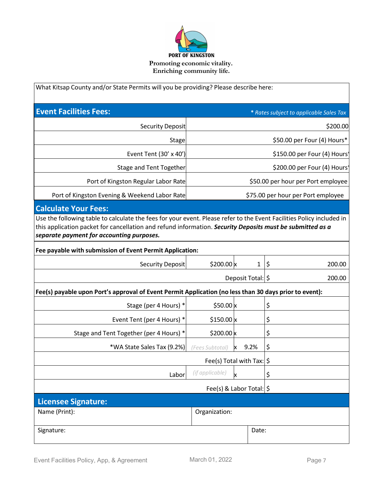

| What Kitsap County and/or State Permits will you be providing? Please describe here:                                                                                                                                                                                            |                             |                                    |                                    |                                         |  |
|---------------------------------------------------------------------------------------------------------------------------------------------------------------------------------------------------------------------------------------------------------------------------------|-----------------------------|------------------------------------|------------------------------------|-----------------------------------------|--|
| <b>Event Facilities Fees:</b>                                                                                                                                                                                                                                                   |                             |                                    |                                    | * Rates subject to applicable Sales Tax |  |
| <b>Security Deposit</b>                                                                                                                                                                                                                                                         |                             |                                    |                                    | \$200.00                                |  |
| Stage                                                                                                                                                                                                                                                                           | \$50.00 per Four (4) Hours* |                                    |                                    |                                         |  |
| Event Tent (30' x 40')                                                                                                                                                                                                                                                          |                             |                                    |                                    | \$150.00 per Four (4) Hours'            |  |
| <b>Stage and Tent Together</b>                                                                                                                                                                                                                                                  |                             |                                    |                                    | \$200.00 per Four (4) Hours'            |  |
| Port of Kingston Regular Labor Rate                                                                                                                                                                                                                                             |                             | \$50.00 per hour per Port employee |                                    |                                         |  |
| Port of Kingston Evening & Weekend Labor Rate                                                                                                                                                                                                                                   |                             |                                    | \$75.00 per hour per Port employee |                                         |  |
| <b>Calculate Your Fees:</b>                                                                                                                                                                                                                                                     |                             |                                    |                                    |                                         |  |
| Use the following table to calculate the fees for your event. Please refer to the Event Facilities Policy included in<br>this application packet for cancellation and refund information. Security Deposits must be submitted as a<br>separate payment for accounting purposes. |                             |                                    |                                    |                                         |  |
| Fee payable with submission of Event Permit Application:                                                                                                                                                                                                                        |                             |                                    |                                    |                                         |  |
| <b>Security Deposit</b>                                                                                                                                                                                                                                                         | \$200.00 $x$                |                                    | $\mathbf{1}$                       | \$<br>200.00                            |  |
|                                                                                                                                                                                                                                                                                 | Deposit Total:   \$         |                                    |                                    | 200.00                                  |  |
| Fee(s) payable upon Port's approval of Event Permit Application (no less than 30 days prior to event):                                                                                                                                                                          |                             |                                    |                                    |                                         |  |
| Stage (per 4 Hours) *                                                                                                                                                                                                                                                           | \$50.00 $x$                 |                                    |                                    | \$                                      |  |
| Event Tent (per 4 Hours) *                                                                                                                                                                                                                                                      | $$150.00 \times$            |                                    |                                    | \$                                      |  |
| Stage and Tent Together (per 4 Hours) *                                                                                                                                                                                                                                         | \$200.00 $\times$           |                                    |                                    | \$                                      |  |
| *WA State Sales Tax (9.2%)                                                                                                                                                                                                                                                      | (Fees Subtotal)             |                                    | 9.2%                               | \$                                      |  |
| Fee(s) Total with Tax: $ \hat{\phi} $                                                                                                                                                                                                                                           |                             |                                    |                                    |                                         |  |
| Labor                                                                                                                                                                                                                                                                           | (if applicable)<br>x        |                                    |                                    | \$                                      |  |
| Fee(s) & Labor Total: $\frac{1}{5}$                                                                                                                                                                                                                                             |                             |                                    |                                    |                                         |  |
| <b>Licensee Signature:</b>                                                                                                                                                                                                                                                      |                             |                                    |                                    |                                         |  |
| Name (Print):                                                                                                                                                                                                                                                                   | Organization:               |                                    |                                    |                                         |  |
| Signature:                                                                                                                                                                                                                                                                      |                             |                                    | Date:                              |                                         |  |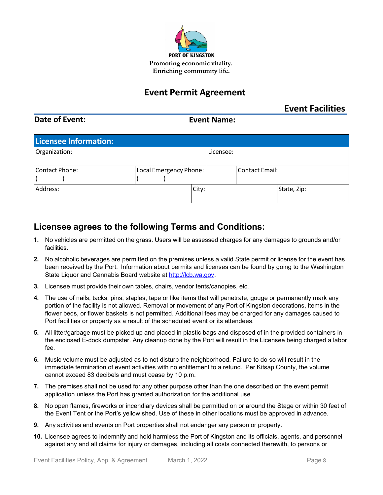

## **Event Permit Agreement**

## **Event Facilities**

## **Date of Event:**

## **Event Name:**

| <b>Licensee Information:</b> |                        |           |                       |             |  |
|------------------------------|------------------------|-----------|-----------------------|-------------|--|
| Organization:                |                        | Licensee: |                       |             |  |
|                              |                        |           |                       |             |  |
| Contact Phone:               | Local Emergency Phone: |           | <b>Contact Email:</b> |             |  |
|                              |                        |           |                       |             |  |
| Address:                     |                        | City:     |                       | State, Zip: |  |
|                              |                        |           |                       |             |  |

## **Licensee agrees to the following Terms and Conditions:**

- **1.** No vehicles are permitted on the grass. Users will be assessed charges for any damages to grounds and/or facilities.
- **2.** No alcoholic beverages are permitted on the premises unless a valid State permit or license for the event has been received by the Port. Information about permits and licenses can be found by going to the Washington State Liquor and Cannabis Board website at [http://lcb.wa.gov.](http://lcb.wa.gov/)
- **3.** Licensee must provide their own tables, chairs, vendor tents/canopies, etc.
- **4.** The use of nails, tacks, pins, staples, tape or like items that will penetrate, gouge or permanently mark any portion of the facility is not allowed. Removal or movement of any Port of Kingston decorations, items in the flower beds, or flower baskets is not permitted. Additional fees may be charged for any damages caused to Port facilities or property as a result of the scheduled event or its attendees.
- **5.** All litter/garbage must be picked up and placed in plastic bags and disposed of in the provided containers in the enclosed E-dock dumpster. Any cleanup done by the Port will result in the Licensee being charged a labor fee.
- **6.** Music volume must be adjusted as to not disturb the neighborhood. Failure to do so will result in the immediate termination of event activities with no entitlement to a refund. Per Kitsap County, the volume cannot exceed 83 decibels and must cease by 10 p.m.
- **7.** The premises shall not be used for any other purpose other than the one described on the event permit application unless the Port has granted authorization for the additional use.
- **8.** No open flames, fireworks or incendiary devices shall be permitted on or around the Stage or within 30 feet of the Event Tent or the Port's yellow shed. Use of these in other locations must be approved in advance.
- **9.** Any activities and events on Port properties shall not endanger any person or property.
- **10.** Licensee agrees to indemnify and hold harmless the Port of Kingston and its officials, agents, and personnel against any and all claims for injury or damages, including all costs connected therewith, to persons or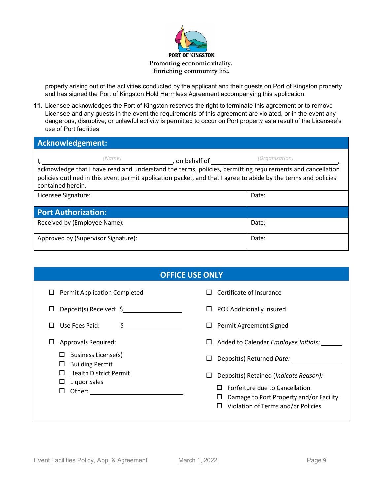

property arising out of the activities conducted by the applicant and their guests on Port of Kingston property and has signed the Port of Kingston Hold Harmless Agreement accompanying this application.

**11.** Licensee acknowledges the Port of Kingston reserves the right to terminate this agreement or to remove Licensee and any guests in the event the requirements of this agreement are violated, or in the event any dangerous, disruptive, or unlawful activity is permitted to occur on Port property as a result of the Licensee's use of Port facilities.

| Acknowledgement:                                                                                                                                                                                                                                                             |                |  |  |  |
|------------------------------------------------------------------------------------------------------------------------------------------------------------------------------------------------------------------------------------------------------------------------------|----------------|--|--|--|
| (Name)<br>, on behalf of<br>acknowledge that I have read and understand the terms, policies, permitting requirements and cancellation<br>policies outlined in this event permit application packet, and that I agree to abide by the terms and policies<br>contained herein. | (Organization) |  |  |  |
| Licensee Signature:                                                                                                                                                                                                                                                          | Date:          |  |  |  |
| <b>Port Authorization:</b>                                                                                                                                                                                                                                                   |                |  |  |  |
| Received by (Employee Name):                                                                                                                                                                                                                                                 | Date:          |  |  |  |
| Approved by (Supervisor Signature):                                                                                                                                                                                                                                          | Date:          |  |  |  |

| <b>OFFICE USE ONLY</b>                                                                                         |                                                                                                                                                                                     |
|----------------------------------------------------------------------------------------------------------------|-------------------------------------------------------------------------------------------------------------------------------------------------------------------------------------|
| <b>Permit Application Completed</b><br>ப<br>Deposit(s) Received: \$<br>ப<br>Use Fees Paid:<br>S<br><u> 1 I</u> | Certificate of Insurance<br>П<br><b>POK Additionally Insured</b><br>□<br>Permit Agreement Signed<br>ш                                                                               |
| Approvals Required:<br>ப                                                                                       | Added to Calendar Employee Initials:<br>Ц                                                                                                                                           |
| <b>Business License(s)</b><br>ப<br><b>Building Permit</b><br>□                                                 | Deposit(s) Returned Date:<br>□                                                                                                                                                      |
| <b>Health District Permit</b><br>П<br>Liquor Sales<br>ப<br>Other:<br>□                                         | Deposit(s) Retained (Indicate Reason):<br>□<br>Forfeiture due to Cancellation<br>$\mathbf{L}$<br>Damage to Port Property and/or Facility<br>□<br>Violation of Terms and/or Policies |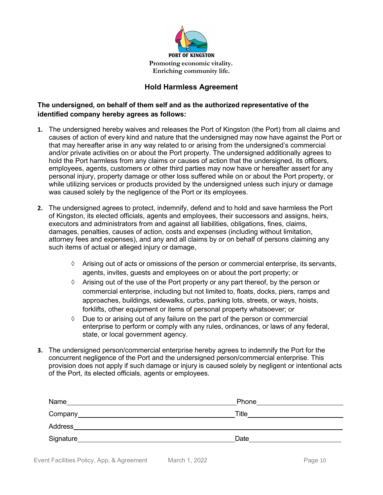

## **Hold Harmless Agreement**

## **The undersigned, on behalf of them self and as the authorized representative of the identified company hereby agrees as follows:**

- **1.** The undersigned hereby waives and releases the Port of Kingston (the Port) from all claims and causes of action of every kind and nature that the undersigned may now have against the Port or that may hereafter arise in any way related to or arising from the undersigned's commercial and/or private activities on or about the Port property. The undersigned additionally agrees to hold the Port harmless from any claims or causes of action that the undersigned, its officers, employees, agents, customers or other third parties may now have or hereafter assert for any personal injury, property damage or other loss suffered while on or about the Port property, or while utilizing services or products provided by the undersigned unless such injury or damage was caused solely by the negligence of the Port or its employees.
- **2.** The undersigned agrees to protect, indemnify, defend and to hold and save harmless the Port of Kingston, its elected officials, agents and employees, their successors and assigns, heirs, executors and administrators from and against all liabilities, obligations, fines, claims, damages, penalties, causes of action, costs and expenses (including without limitation, attorney fees and expenses), and any and all claims by or on behalf of persons claiming any such items of actual or alleged injury or damage,
	- $\Diamond$  Arising out of acts or omissions of the person or commercial enterprise, its servants, agents, invites, guests and employees on or about the port property; or
	- $\Diamond$  Arising out of the use of the Port property or any part thereof, by the person or commercial enterprise, including but not limited to, floats, docks, piers, ramps and approaches, buildings, sidewalks, curbs, parking lots, streets, or ways, hoists, forklifts, other equipment or items of personal property whatsoever; or
	- ◊ Due to or arising out of any failure on the part of the person or commercial enterprise to perform or comply with any rules, ordinances, or laws of any federal, state, or local government agency.
- **3.** The undersigned person/commercial enterprise hereby agrees to indemnify the Port for the concurrent negligence of the Port and the undersigned person/commercial enterprise. This provision does not apply if such damage or injury is caused solely by negligent or intentional acts of the Port, its elected officials, agents or employees.

| Name      | Phone |
|-----------|-------|
|           | Title |
| Address   |       |
| Signature | Date  |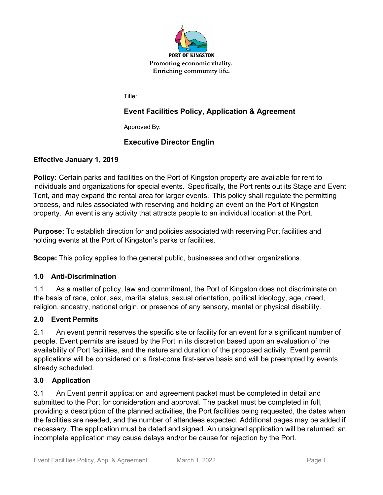

Title:

## **Event Facilities Policy, Application & Agreement**

Approved By:

## **Executive Director Englin**

## **Effective January 1, 2019**

**Policy:** Certain parks and facilities on the Port of Kingston property are available for rent to individuals and organizations for special events. Specifically, the Port rents out its Stage and Event Tent, and may expand the rental area for larger events. This policy shall regulate the permitting process, and rules associated with reserving and holding an event on the Port of Kingston property. An event is any activity that attracts people to an individual location at the Port.

**Purpose:** To establish direction for and policies associated with reserving Port facilities and holding events at the Port of Kingston's parks or facilities.

**Scope:** This policy applies to the general public, businesses and other organizations.

## **1.0 Anti-Discrimination**

1.1 As a matter of policy, law and commitment, the Port of Kingston does not discriminate on the basis of race, color, sex, marital status, sexual orientation, political ideology, age, creed, religion, ancestry, national origin, or presence of any sensory, mental or physical disability.

#### **2.0 Event Permits**

2.1 An event permit reserves the specific site or facility for an event for a significant number of people. Event permits are issued by the Port in its discretion based upon an evaluation of the availability of Port facilities, and the nature and duration of the proposed activity. Event permit applications will be considered on a first-come first-serve basis and will be preempted by events already scheduled.

#### **3.0 Application**

3.1 An Event permit application and agreement packet must be completed in detail and submitted to the Port for consideration and approval. The packet must be completed in full, providing a description of the planned activities, the Port facilities being requested, the dates when the facilities are needed, and the number of attendees expected. Additional pages may be added if necessary. The application must be dated and signed. An unsigned application will be returned; an incomplete application may cause delays and/or be cause for rejection by the Port.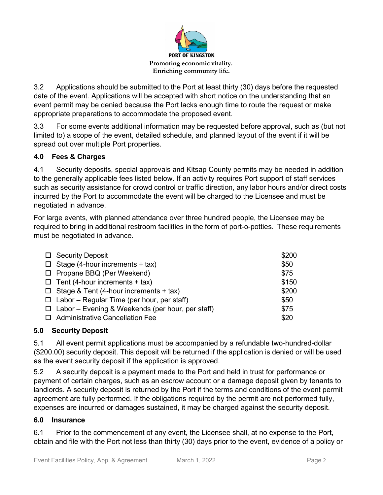

3.2 Applications should be submitted to the Port at least thirty (30) days before the requested date of the event. Applications will be accepted with short notice on the understanding that an event permit may be denied because the Port lacks enough time to route the request or make appropriate preparations to accommodate the proposed event.

3.3 For some events additional information may be requested before approval, such as (but not limited to) a scope of the event, detailed schedule, and planned layout of the event if it will be spread out over multiple Port properties.

## **4.0 Fees & Charges**

4.1 Security deposits, special approvals and Kitsap County permits may be needed in addition to the generally applicable fees listed below. If an activity requires Port support of staff services such as security assistance for crowd control or traffic direction, any labor hours and/or direct costs incurred by the Port to accommodate the event will be charged to the Licensee and must be negotiated in advance.

For large events, with planned attendance over three hundred people, the Licensee may be required to bring in additional restroom facilities in the form of port-o-potties. These requirements must be negotiated in advance.

| □ Security Deposit                                      | \$200 |
|---------------------------------------------------------|-------|
| $\Box$ Stage (4-hour increments + tax)                  | \$50  |
| □ Propane BBQ (Per Weekend)                             | \$75  |
| $\Box$ Tent (4-hour increments + tax)                   | \$150 |
| $\Box$ Stage & Tent (4-hour increments + tax)           | \$200 |
| $\Box$ Labor – Regular Time (per hour, per staff)       | \$50  |
| $\Box$ Labor – Evening & Weekends (per hour, per staff) | \$75  |
| □ Administrative Cancellation Fee                       | \$20  |

## **5.0 Security Deposit**

5.1 All event permit applications must be accompanied by a refundable two-hundred-dollar (\$200.00) security deposit. This deposit will be returned if the application is denied or will be used as the event security deposit if the application is approved.

5.2 A security deposit is a payment made to the Port and held in trust for performance or payment of certain charges, such as an escrow account or a damage deposit given by tenants to landlords. A security deposit is returned by the Port if the terms and conditions of the event permit agreement are fully performed. If the obligations required by the permit are not performed fully, expenses are incurred or damages sustained, it may be charged against the security deposit.

## **6.0 Insurance**

6.1 Prior to the commencement of any event, the Licensee shall, at no expense to the Port, obtain and file with the Port not less than thirty (30) days prior to the event, evidence of a policy or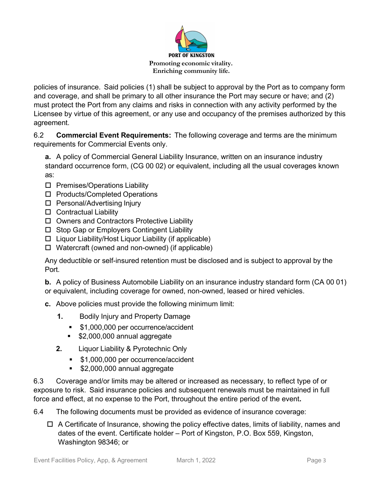![](_page_7_Picture_0.jpeg)

policies of insurance. Said policies (1) shall be subject to approval by the Port as to company form and coverage, and shall be primary to all other insurance the Port may secure or have; and (2) must protect the Port from any claims and risks in connection with any activity performed by the Licensee by virtue of this agreement, or any use and occupancy of the premises authorized by this agreement.

6.2 **Commercial Event Requirements:** The following coverage and terms are the minimum requirements for Commercial Events only.

**a.** A policy of Commercial General Liability Insurance, written on an insurance industry standard occurrence form, (CG 00 02) or equivalent, including all the usual coverages known as:

- $\square$  Premises/Operations Liability
- □ Products/Completed Operations
- □ Personal/Advertising Injury
- $\square$  Contractual Liability
- $\Box$  Owners and Contractors Protective Liability
- □ Stop Gap or Employers Contingent Liability
- $\Box$  Liquor Liability/Host Liquor Liability (if applicable)
- $\Box$  Watercraft (owned and non-owned) (if applicable)

Any deductible or self-insured retention must be disclosed and is subject to approval by the Port.

**b.** A policy of Business Automobile Liability on an insurance industry standard form (CA 00 01) or equivalent, including coverage for owned, non-owned, leased or hired vehicles.

- **c.** Above policies must provide the following minimum limit:
	- **1.** Bodily Injury and Property Damage
		- **\$1,000,000 per occurrence/accident**
		- **\$2,000,000 annual aggregate**
	- **2.** Liquor Liability & Pyrotechnic Only
		- **\$1,000,000 per occurrence/accident**
		- **\$2,000,000 annual aggregate**

6.3 Coverage and/or limits may be altered or increased as necessary, to reflect type of or exposure to risk. Said insurance policies and subsequent renewals must be maintained in full force and effect, at no expense to the Port, throughout the entire period of the event**.**

- 6.4 The following documents must be provided as evidence of insurance coverage:
	- $\Box$  A Certificate of Insurance, showing the policy effective dates, limits of liability, names and dates of the event. Certificate holder – Port of Kingston, P.O. Box 559, Kingston, Washington 98346; or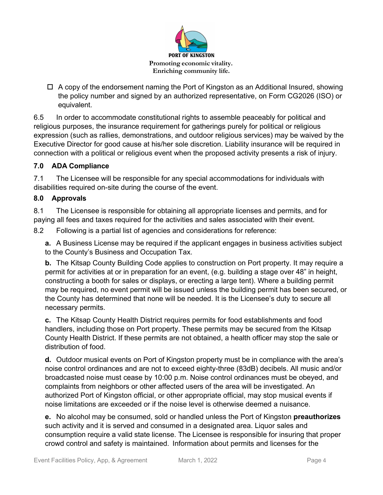![](_page_8_Picture_0.jpeg)

 $\Box$  A copy of the endorsement naming the Port of Kingston as an Additional Insured, showing the policy number and signed by an authorized representative, on Form CG2026 (ISO) or equivalent.

6.5 In order to accommodate constitutional rights to assemble peaceably for political and religious purposes, the insurance requirement for gatherings purely for political or religious expression (such as rallies, demonstrations, and outdoor religious services) may be waived by the Executive Director for good cause at his/her sole discretion. Liability insurance will be required in connection with a political or religious event when the proposed activity presents a risk of injury.

## **7.0 ADA Compliance**

7.1 The Licensee will be responsible for any special accommodations for individuals with disabilities required on-site during the course of the event.

## **8.0 Approvals**

8.1 The Licensee is responsible for obtaining all appropriate licenses and permits, and for paying all fees and taxes required for the activities and sales associated with their event.

8.2 Following is a partial list of agencies and considerations for reference:

**a.** A Business License may be required if the applicant engages in business activities subject to the County's Business and Occupation Tax.

**b.** The Kitsap County Building Code applies to construction on Port property. It may require a permit for activities at or in preparation for an event, (e.g. building a stage over 48" in height, constructing a booth for sales or displays, or erecting a large tent). Where a building permit may be required, no event permit will be issued unless the building permit has been secured, or the County has determined that none will be needed. It is the Licensee's duty to secure all necessary permits.

**c.** The Kitsap County Health District requires permits for food establishments and food handlers, including those on Port property. These permits may be secured from the Kitsap County Health District. If these permits are not obtained, a health officer may stop the sale or distribution of food.

**d.** Outdoor musical events on Port of Kingston property must be in compliance with the area's noise control ordinances and are not to exceed eighty-three (83dB) decibels. All music and/or broadcasted noise must cease by 10:00 p.m. Noise control ordinances must be obeyed, and complaints from neighbors or other affected users of the area will be investigated. An authorized Port of Kingston official, or other appropriate official, may stop musical events if noise limitations are exceeded or if the noise level is otherwise deemed a nuisance.

**e.** No alcohol may be consumed, sold or handled unless the Port of Kingston **preauthorizes**  such activity and it is served and consumed in a designated area. Liquor sales and consumption require a valid state license. The Licensee is responsible for insuring that proper crowd control and safety is maintained. Information about permits and licenses for the